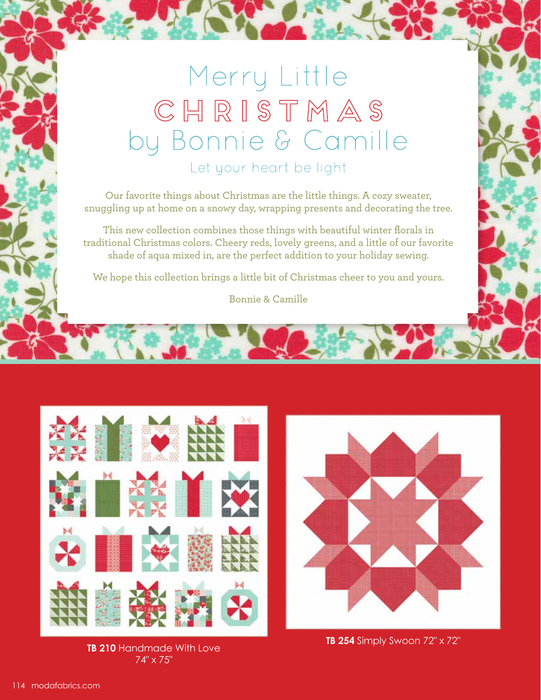## Merry Little CHRISTMAS by Bonnie & Camille Let your heart be light

Our favorite things about Christmas are the little things. A cozy sweater, snuggling up at home on a snowy day, wrapping presents and decorating the tree.

This new collection combines those things with beautiful winter florals in traditional Christmas colors. Cheery reds, lovely greens, and a little of our favorite shade of aqua mixed in, are the perfect addition to your holiday sewing.

We hope this collection brings a little bit of Christmas cheer to you and yours.

Bonnie & Camille



**TB 210** Handmade With Love 74" x 75"



**TB 254** Simply Swoon 72" x 72"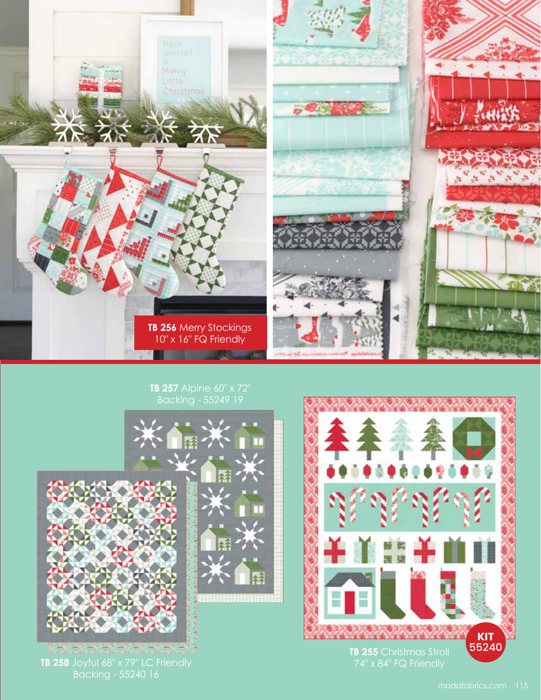

## **TB 257** Alpine 60" x 72"



**TB 258** Joyful 68" x 79" LC Friendly

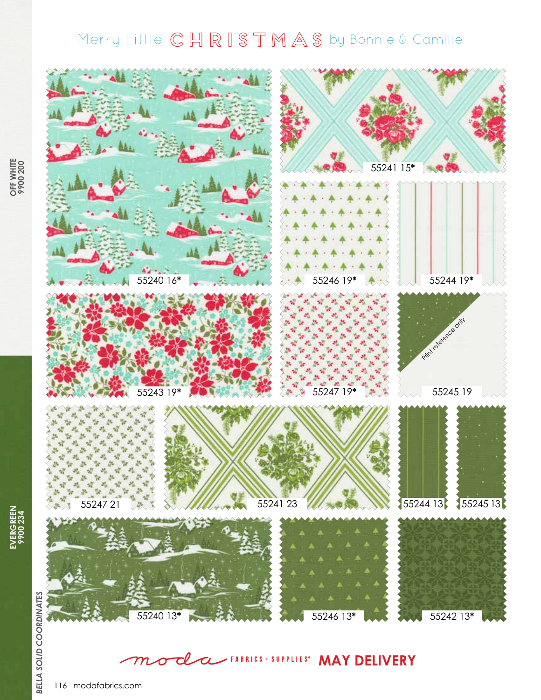## Merry Little CHRISTMAS by Bonnie & Camille



**WAY DELIVERY**  $\boldsymbol{\sigma}$  ${\boldsymbol m}$